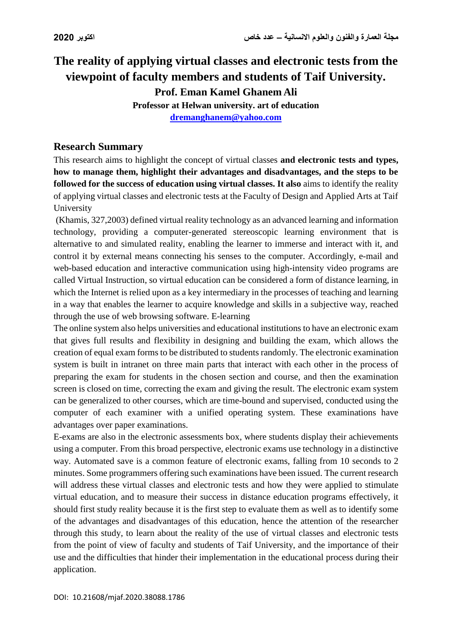# **The reality of applying virtual classes and electronic tests from the viewpoint of faculty members and students of Taif University. Prof. Eman Kamel Ghanem Ali**

**Professor at Helwan university. art of education [dremanghanem@yahoo.com](mailto:dremanghanem@yahoo.com)**

### **Research Summary**

This research aims to highlight the concept of virtual classes **and electronic tests and types, how to manage them, highlight their advantages and disadvantages, and the steps to be followed for the success of education using virtual classes. It also** aims to identify the reality of applying virtual classes and electronic tests at the Faculty of Design and Applied Arts at Taif University

(Khamis, 327,2003) defined virtual reality technology as an advanced learning and information technology, providing a computer-generated stereoscopic learning environment that is alternative to and simulated reality, enabling the learner to immerse and interact with it, and control it by external means connecting his senses to the computer. Accordingly, e-mail and web-based education and interactive communication using high-intensity video programs are called Virtual Instruction, so virtual education can be considered a form of distance learning, in which the Internet is relied upon as a key intermediary in the processes of teaching and learning in a way that enables the learner to acquire knowledge and skills in a subjective way, reached through the use of web browsing software. E-learning

The online system also helps universities and educational institutions to have an electronic exam that gives full results and flexibility in designing and building the exam, which allows the creation of equal exam forms to be distributed to students randomly. The electronic examination system is built in intranet on three main parts that interact with each other in the process of preparing the exam for students in the chosen section and course, and then the examination screen is closed on time, correcting the exam and giving the result. The electronic exam system can be generalized to other courses, which are time-bound and supervised, conducted using the computer of each examiner with a unified operating system. These examinations have advantages over paper examinations.

E-exams are also in the electronic assessments box, where students display their achievements using a computer. From this broad perspective, electronic exams use technology in a distinctive way. Automated save is a common feature of electronic exams, falling from 10 seconds to 2 minutes. Some programmers offering such examinations have been issued. The current research will address these virtual classes and electronic tests and how they were applied to stimulate virtual education, and to measure their success in distance education programs effectively, it should first study reality because it is the first step to evaluate them as well as to identify some of the advantages and disadvantages of this education, hence the attention of the researcher through this study, to learn about the reality of the use of virtual classes and electronic tests from the point of view of faculty and students of Taif University, and the importance of their use and the difficulties that hinder their implementation in the educational process during their application.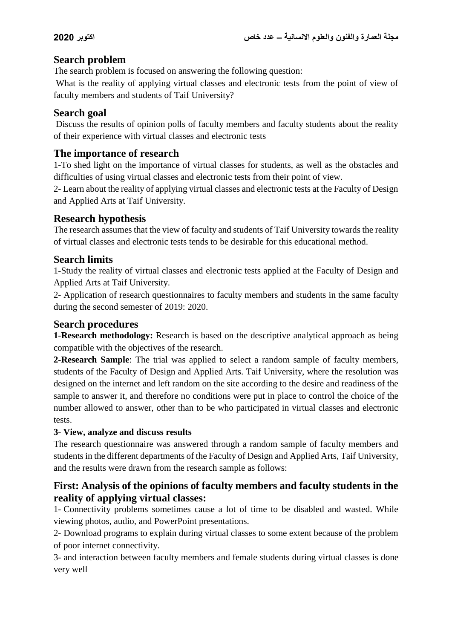# **Search problem**

The search problem is focused on answering the following question:

What is the reality of applying virtual classes and electronic tests from the point of view of faculty members and students of Taif University?

### **Search goal**

Discuss the results of opinion polls of faculty members and faculty students about the reality of their experience with virtual classes and electronic tests

# **The importance of research**

1-To shed light on the importance of virtual classes for students, as well as the obstacles and difficulties of using virtual classes and electronic tests from their point of view.

2- Learn about the reality of applying virtual classes and electronic tests at the Faculty of Design and Applied Arts at Taif University.

# **Research hypothesis**

The research assumes that the view of faculty and students of Taif University towards the reality of virtual classes and electronic tests tends to be desirable for this educational method.

### **Search limits**

1-Study the reality of virtual classes and electronic tests applied at the Faculty of Design and Applied Arts at Taif University.

2- Application of research questionnaires to faculty members and students in the same faculty during the second semester of 2019: 2020.

# **Search procedures**

**1-Research methodology:** Research is based on the descriptive analytical approach as being compatible with the objectives of the research.

**2-Research Sample**: The trial was applied to select a random sample of faculty members, students of the Faculty of Design and Applied Arts. Taif University, where the resolution was designed on the internet and left random on the site according to the desire and readiness of the sample to answer it, and therefore no conditions were put in place to control the choice of the number allowed to answer, other than to be who participated in virtual classes and electronic tests.

#### **3**- **View, analyze and discuss results**

The research questionnaire was answered through a random sample of faculty members and students in the different departments of the Faculty of Design and Applied Arts, Taif University, and the results were drawn from the research sample as follows:

# **First: Analysis of the opinions of faculty members and faculty students in the reality of applying virtual classes:**

1- Connectivity problems sometimes cause a lot of time to be disabled and wasted. While viewing photos, audio, and PowerPoint presentations.

2- Download programs to explain during virtual classes to some extent because of the problem of poor internet connectivity.

3- and interaction between faculty members and female students during virtual classes is done very well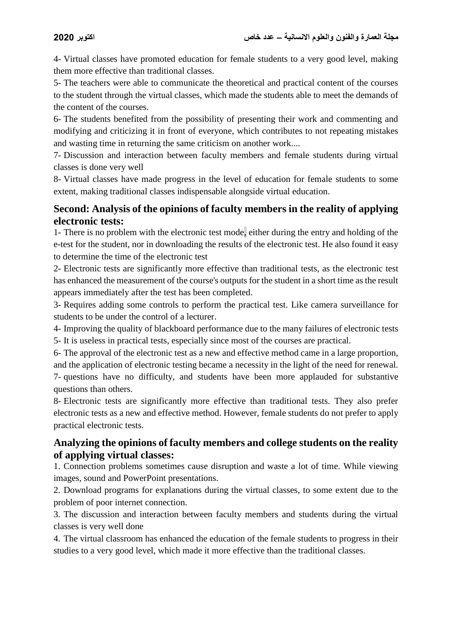4- Virtual classes have promoted education for female students to a very good level, making them more effective than traditional classes.

5- The teachers were able to communicate the theoretical and practical content of the courses to the student through the virtual classes, which made the students able to meet the demands of the content of the courses.

6- The students benefited from the possibility of presenting their work and commenting and modifying and criticizing it in front of everyone, which contributes to not repeating mistakes and wasting time in returning the same criticism on another work....

7- Discussion and interaction between faculty members and female students during virtual classes is done very well

8- Virtual classes have made progress in the level of education for female students to some extent, making traditional classes indispensable alongside virtual education.

# **Second: Analysis of the opinions of faculty members in the reality of applying electronic tests:**

1- There is no problem with the electronic test mode, either during the entry and holding of the e-test for the student, nor in downloading the results of the electronic test. He also found it easy to determine the time of the electronic test

2- Electronic tests are significantly more effective than traditional tests, as the electronic test has enhanced the measurement of the course's outputs for the student in a short time as the result appears immediately after the test has been completed.

3- Requires adding some controls to perform the practical test. Like camera surveillance for students to be under the control of a lecturer.

4- Improving the quality of blackboard performance due to the many failures of electronic tests

5- It is useless in practical tests, especially since most of the courses are practical.

6- The approval of the electronic test as a new and effective method came in a large proportion, and the application of electronic testing became a necessity in the light of the need for renewal.

7- questions have no difficulty, and students have been more applauded for substantive questions than others.

8- Electronic tests are significantly more effective than traditional tests. They also prefer electronic tests as a new and effective method. However, female students do not prefer to apply practical electronic tests.

# **Analyzing the opinions of faculty members and college students on the reality of applying virtual classes:**

1. Connection problems sometimes cause disruption and waste a lot of time. While viewing images, sound and PowerPoint presentations.

2. Download programs for explanations during the virtual classes, to some extent due to the problem of poor internet connection.

3. The discussion and interaction between faculty members and students during the virtual classes is very well done

4. The virtual classroom has enhanced the education of the female students to progress in their studies to a very good level, which made it more effective than the traditional classes.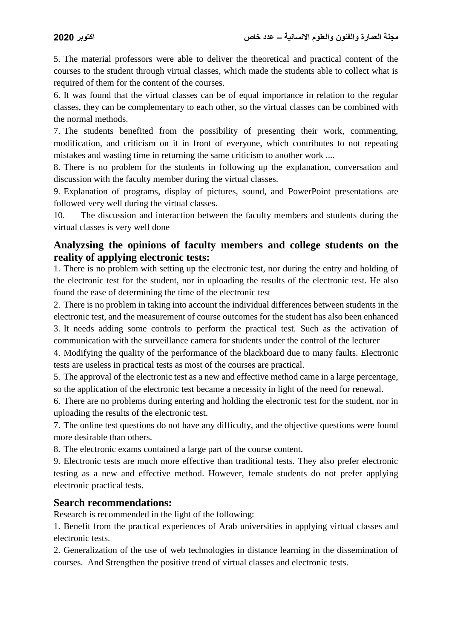5. The material professors were able to deliver the theoretical and practical content of the courses to the student through virtual classes, which made the students able to collect what is required of them for the content of the courses.

6. It was found that the virtual classes can be of equal importance in relation to the regular classes, they can be complementary to each other, so the virtual classes can be combined with the normal methods.

7. The students benefited from the possibility of presenting their work, commenting, modification, and criticism on it in front of everyone, which contributes to not repeating mistakes and wasting time in returning the same criticism to another work ....

8. There is no problem for the students in following up the explanation, conversation and discussion with the faculty member during the virtual classes.

9. Explanation of programs, display of pictures, sound, and PowerPoint presentations are followed very well during the virtual classes.

10. The discussion and interaction between the faculty members and students during the virtual classes is very well done

### **Analyzsing the opinions of faculty members and college students on the reality of applying electronic tests:**

1. There is no problem with setting up the electronic test, nor during the entry and holding of the electronic test for the student, nor in uploading the results of the electronic test. He also found the ease of determining the time of the electronic test

2. There is no problem in taking into account the individual differences between students in the electronic test, and the measurement of course outcomes for the student has also been enhanced 3. It needs adding some controls to perform the practical test. Such as the activation of communication with the surveillance camera for students under the control of the lecturer

4. Modifying the quality of the performance of the blackboard due to many faults. Electronic tests are useless in practical tests as most of the courses are practical.

5. The approval of the electronic test as a new and effective method came in a large percentage, so the application of the electronic test became a necessity in light of the need for renewal.

6. There are no problems during entering and holding the electronic test for the student, nor in uploading the results of the electronic test.

7. The online test questions do not have any difficulty, and the objective questions were found more desirable than others.

8. The electronic exams contained a large part of the course content.

9. Electronic tests are much more effective than traditional tests. They also prefer electronic testing as a new and effective method. However, female students do not prefer applying electronic practical tests.

#### **Search recommendations:**

Research is recommended in the light of the following:

1. Benefit from the practical experiences of Arab universities in applying virtual classes and electronic tests.

2. Generalization of the use of web technologies in distance learning in the dissemination of courses. And Strengthen the positive trend of virtual classes and electronic tests.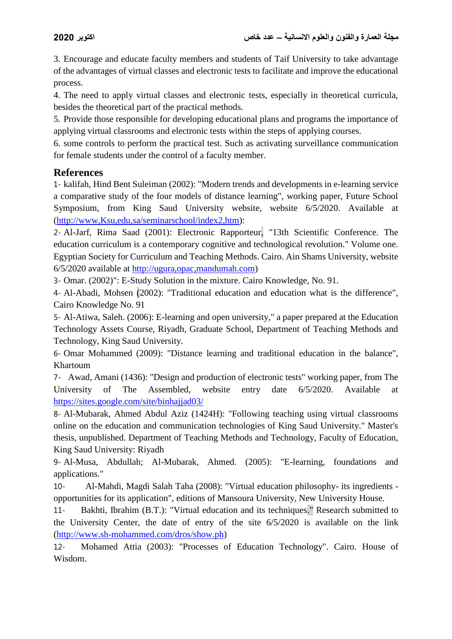3. Encourage and educate faculty members and students of Taif University to take advantage of the advantages of virtual classes and electronic tests to facilitate and improve the educational process.

4. The need to apply virtual classes and electronic tests, especially in theoretical curricula, besides the theoretical part of the practical methods.

5. Provide those responsible for developing educational plans and programs the importance of applying virtual classrooms and electronic tests within the steps of applying courses.

6. some controls to perform the practical test. Such as activating surveillance communication for female students under the control of a faculty member.

#### **References**

1- kalifah, Hind Bent Suleiman (2002): "Modern trends and developments in e-learning service a comparative study of the four models of distance learning", working paper, Future School Symposium, from King Saud University website, website 6/5/2020. Available at [\(http://www,Ksu,edu,sa/seminarschool/index2,htm\)](http://www,ksu,edu,sa/seminarschool/index2,htm):

2- Al-Jarf, Rima Saad (2001): Electronic Rapporteur, "13th Scientific Conference. The education curriculum is a contemporary cognitive and technological revolution." Volume one. Egyptian Society for Curriculum and Teaching Methods. Cairo. Ain Shams University, website 6/5/2020 available at [http://ugura,opac,mandumah.com\)](http://ugura,opac,mandumah.com/)

3- Omar. (2002)": E-Study Solution in the mixture. Cairo Knowledge, No. 91.

4- Al-Abadi, Mohsen (2002): "Traditional education and education what is the difference", Cairo Knowledge No. 91

5- Al-Atiwa, Saleh. (2006): E-learning and open university," a paper prepared at the Education Technology Assets Course, Riyadh, Graduate School, Department of Teaching Methods and Technology, King Saud University.

6- Omar Mohammed (2009): "Distance learning and traditional education in the balance", Khartoum

7- Awad, Amani (1436): "Design and production of electronic tests" working paper, from The University of The Assembled, website entry date 6/5/2020. Available at <https://sites.google.com/site/binhajjad03/>

8- Al-Mubarak, Ahmed Abdul Aziz (1424H): "Following teaching using virtual classrooms online on the education and communication technologies of King Saud University." Master's thesis, unpublished. Department of Teaching Methods and Technology, Faculty of Education, King Saud University: Riyadh

9- Al-Musa, Abdullah; Al-Mubarak, Ahmed. (2005): "E-learning, foundations and applications."

10- Al-Mahdi, Magdi Salah Taha (2008): "Virtual education philosophy- its ingredients opportunities for its application", editions of Mansoura University, New University House.

11- Bakhti, Ibrahim (B.T.): "Virtual education and its techniques." Research submitted to the University Center, the date of entry of the site 6/5/2020 is available on the link [\(http://www.sh-mohammed.com/dros/show.ph\)](http://www.sh-mohammed.com/dros/show.ph)

12- Mohamed Attia (2003): "Processes of Education Technology". Cairo. House of Wisdom.